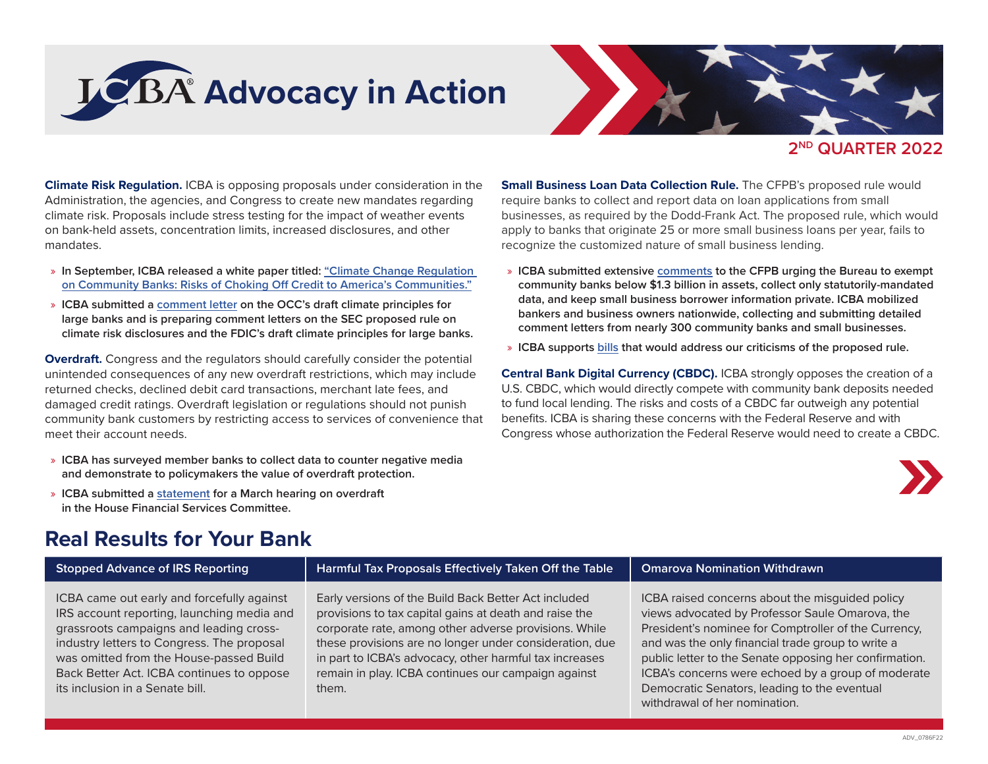



**2ND QUARTER 2022**

**Climate Risk Regulation.** ICBA is opposing proposals under consideration in the Administration, the agencies, and Congress to create new mandates regarding climate risk. Proposals include stress testing for the impact of weather events on bank-held assets, concentration limits, increased disclosures, and other mandates.

- » **In September, ICBA released a white paper titled: ["Climate Change Regulation](https://www.icba.org/newsroom/surveys-and-white-papers)  [on Community Banks: Risks of Choking Off Credit to America's Communities."](https://www.icba.org/newsroom/surveys-and-white-papers)**
- » **ICBA submitted a [comment letter](https://www.icba.org/docs/default-source/icba/advocacy-documents/letters-to-regulators/icba) on the OCC's draft climate principles for large banks and is preparing comment letters on the SEC proposed rule on climate risk disclosures and the FDIC's draft climate principles for large banks.**

**Overdraft.** Congress and the regulators should carefully consider the potential unintended consequences of any new overdraft restrictions, which may include returned checks, declined debit card transactions, merchant late fees, and damaged credit ratings. Overdraft legislation or regulations should not punish community bank customers by restricting access to services of convenience that meet their account needs.

- » **ICBA has surveyed member banks to collect data to counter negative media and demonstrate to policymakers the value of overdraft protection.**
- » **ICBA submitted a [statement](https://www.icba.org/docs/default-source/icba/advocacy-documents/testimony/statement-for-house-overdraft-hearing.pdf?sfvrsn=9c5c1917_0) for a March hearing on overdraft in the House Financial Services Committee.**

**Small Business Loan Data Collection Rule.** The CFPB's proposed rule would require banks to collect and report data on loan applications from small businesses, as required by the Dodd-Frank Act. The proposed rule, which would apply to banks that originate 25 or more small business loans per year, fails to recognize the customized nature of small business lending.

- » **ICBA submitted extensive [comments](https://www.icba.org/docs/default-source/icba/advocacy-documents/letters-to-regulators/comments-on-1071-small-business-lending-data-collection.pdf?sfvrsn=9ca41c17_0) to the CFPB urging the Bureau to exempt community banks below \$1.3 billion in assets, collect only statutorily-mandated data, and keep small business borrower information private. ICBA mobilized bankers and business owners nationwide, collecting and submitting detailed comment letters from nearly 300 community banks and small businesses.**
- » **ICBA supports [bills](https://www.icba.org/docs/default-source/icba/advocacy-documents/letters-to-congress/letter-supporting-bills-to-modify-section-1071-proposal) that would address our criticisms of the proposed rule.**

**Central Bank Digital Currency (CBDC).** ICBA strongly opposes the creation of a U.S. CBDC, which would directly compete with community bank deposits needed to fund local lending. The risks and costs of a CBDC far outweigh any potential benefits. ICBA is sharing these concerns with the Federal Reserve and with Congress whose authorization the Federal Reserve would need to create a CBDC.



# **Real Results for Your Bank**

**Stopped Advance of IRS Reporting Harmful Tax Proposals Effectively Taken Off the Table Omarova Nomination Withdrawn**

ICBA came out early and forcefully against IRS account reporting, launching media and grassroots campaigns and leading crossindustry letters to Congress. The proposal was omitted from the House-passed Build Back Better Act. ICBA continues to oppose its inclusion in a Senate bill.

Early versions of the Build Back Better Act included provisions to tax capital gains at death and raise the corporate rate, among other adverse provisions. While these provisions are no longer under consideration, due in part to ICBA's advocacy, other harmful tax increases remain in play. ICBA continues our campaign against them.

ICBA raised concerns about the misguided policy views advocated by Professor Saule Omarova, the President's nominee for Comptroller of the Currency, and was the only financial trade group to write a public letter to the Senate opposing her confirmation. ICBA's concerns were echoed by a group of moderate Democratic Senators, leading to the eventual withdrawal of her nomination.